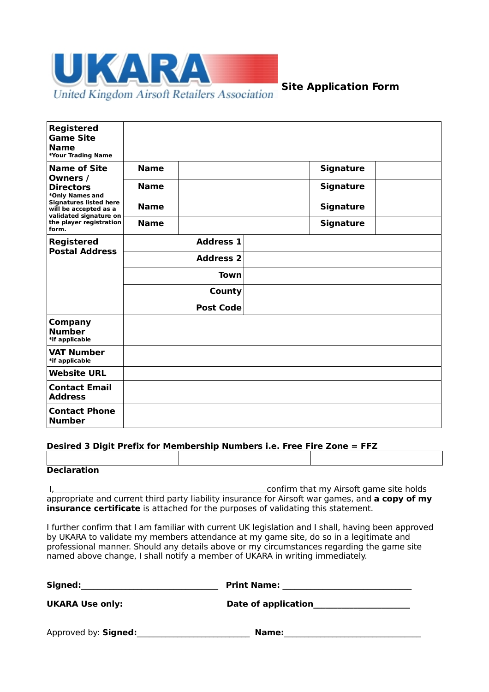

# **Site Application Form**

| <b>Registered</b><br><b>Game Site</b><br><b>Name</b><br>*Your Trading Name                                                                                                                     |                  |                  |                  |
|------------------------------------------------------------------------------------------------------------------------------------------------------------------------------------------------|------------------|------------------|------------------|
| <b>Name of Site</b><br>Owners /<br><b>Directors</b><br>*Only Names and<br><b>Signatures listed here</b><br>will be accepted as a<br>validated signature on<br>the player registration<br>form. | <b>Name</b>      |                  | <b>Signature</b> |
|                                                                                                                                                                                                | <b>Name</b>      |                  | <b>Signature</b> |
|                                                                                                                                                                                                | <b>Name</b>      |                  | <b>Signature</b> |
|                                                                                                                                                                                                | <b>Name</b>      |                  | <b>Signature</b> |
| <b>Registered</b><br><b>Postal Address</b>                                                                                                                                                     |                  | <b>Address 1</b> |                  |
|                                                                                                                                                                                                | <b>Address 2</b> |                  |                  |
|                                                                                                                                                                                                | Town             |                  |                  |
|                                                                                                                                                                                                |                  | County           |                  |
|                                                                                                                                                                                                |                  | <b>Post Code</b> |                  |
| <b>Company</b><br><b>Number</b><br>*if applicable                                                                                                                                              |                  |                  |                  |
| <b>VAT Number</b><br>*if applicable                                                                                                                                                            |                  |                  |                  |
| <b>Website URL</b>                                                                                                                                                                             |                  |                  |                  |
| <b>Contact Email</b><br><b>Address</b>                                                                                                                                                         |                  |                  |                  |
| <b>Contact Phone</b><br><b>Number</b>                                                                                                                                                          |                  |                  |                  |

#### **Desired 3 Digit Prefix for Membership Numbers i.e. Free Fire Zone = FFZ**

| <b>Declaration</b> |  |
|--------------------|--|

I, 1. Confirm that my Airsoft game site holds appropriate and current third party liability insurance for Airsoft war games, and **a copy of my insurance certificate** is attached for the purposes of validating this statement.

I further confirm that I am familiar with current UK legislation and I shall, having been approved by UKARA to validate my members attendance at my game site, do so in a legitimate and professional manner. Should any details above or my circumstances regarding the game site named above change, I shall notify a member of UKARA in writing immediately.

| Signed:                | <b>Print Name:</b>  |
|------------------------|---------------------|
| <b>UKARA Use only:</b> | Date of application |
| Approved by: Signed:   | <b>Name:</b>        |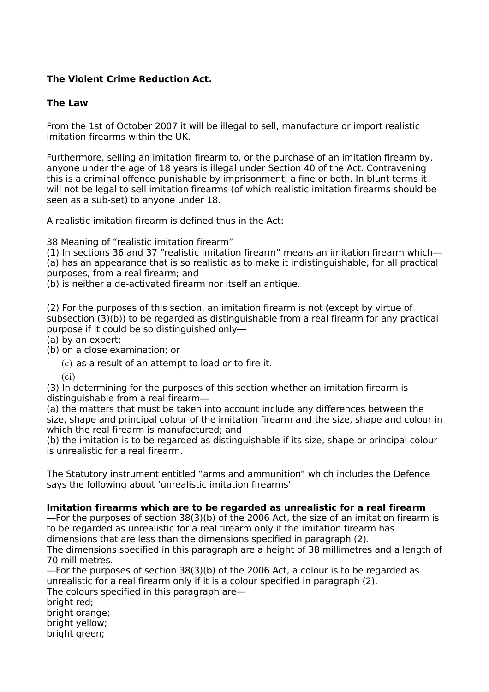## **The Violent Crime Reduction Act.**

### **The Law**

From the 1st of October 2007 it will be illegal to sell, manufacture or import realistic imitation firearms within the UK.

Furthermore, selling an imitation firearm to, or the purchase of an imitation firearm by, anyone under the age of 18 years is illegal under Section 40 of the Act. Contravening this is a criminal offence punishable by imprisonment, a fine or both. In blunt terms it will not be legal to sell imitation firearms (of which realistic imitation firearms should be seen as a sub-set) to anyone under 18.

A realistic imitation firearm is defined thus in the Act:

38 Meaning of "realistic imitation firearm"

(1) In sections 36 and 37 "realistic imitation firearm" means an imitation firearm which— (a) has an appearance that is so realistic as to make it indistinguishable, for all practical purposes, from a real firearm; and

(b) is neither a de-activated firearm nor itself an antique.

(2) For the purposes of this section, an imitation firearm is not (except by virtue of subsection (3)(b)) to be regarded as distinguishable from a real firearm for any practical purpose if it could be so distinguished only—

(a) by an expert;

(b) on a close examination; or

(c) as a result of an attempt to load or to fire it.

(ci)

(3) In determining for the purposes of this section whether an imitation firearm is distinguishable from a real firearm—

(a) the matters that must be taken into account include any differences between the size, shape and principal colour of the imitation firearm and the size, shape and colour in which the real firearm is manufactured; and

(b) the imitation is to be regarded as distinguishable if its size, shape or principal colour is unrealistic for a real firearm.

The Statutory instrument entitled "arms and ammunition" which includes the Defence says the following about 'unrealistic imitation firearms'

### **Imitation firearms which are to be regarded as unrealistic for a real firearm**

—For the purposes of section 38(3)(b) of the 2006 Act, the size of an imitation firearm is to be regarded as unrealistic for a real firearm only if the imitation firearm has dimensions that are less than the dimensions specified in paragraph (2).

The dimensions specified in this paragraph are a height of 38 millimetres and a length of 70 millimetres.

—For the purposes of section 38(3)(b) of the 2006 Act, a colour is to be regarded as unrealistic for a real firearm only if it is a colour specified in paragraph (2). The colours specified in this paragraph are—

bright red:

bright orange;

bright yellow;

bright green;